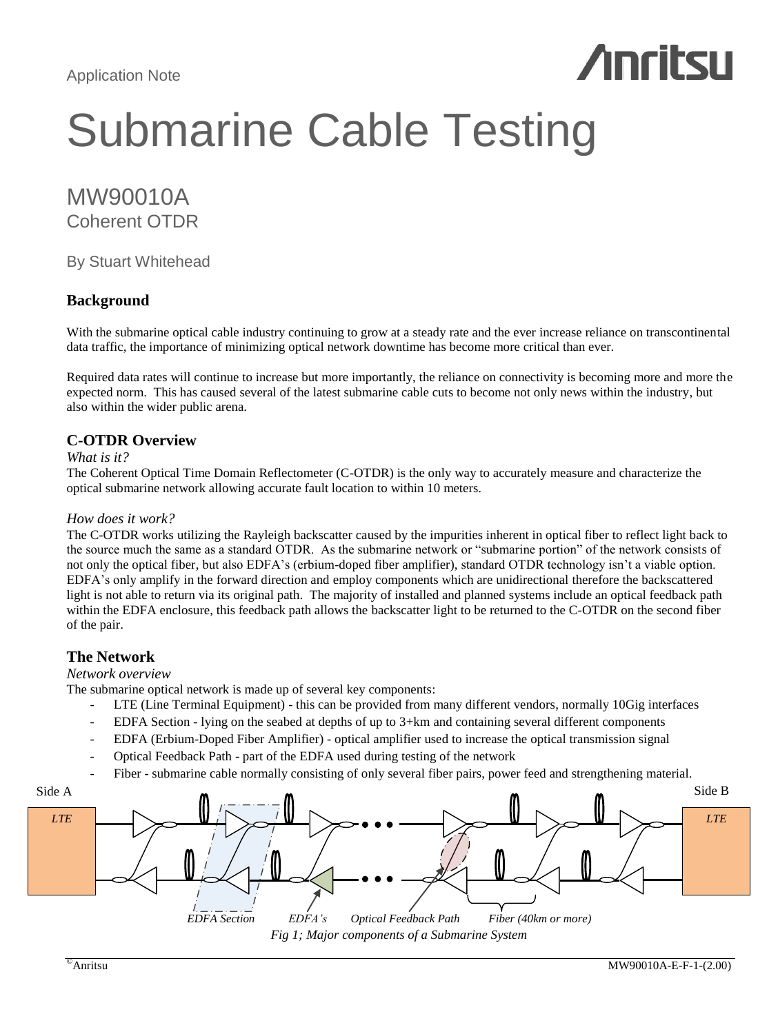# **Anritsu**

## Submarine Cable Testing

## MW90010A Coherent OTDR

By Stuart Whitehead

## **Background**

With the submarine optical cable industry continuing to grow at a steady rate and the ever increase reliance on transcontinental data traffic, the importance of minimizing optical network downtime has become more critical than ever.

Required data rates will continue to increase but more importantly, the reliance on connectivity is becoming more and more the expected norm. This has caused several of the latest submarine cable cuts to become not only news within the industry, but also within the wider public arena.

## **C-OTDR Overview**

#### *What is it?*

The Coherent Optical Time Domain Reflectometer (C-OTDR) is the only way to accurately measure and characterize the optical submarine network allowing accurate fault location to within 10 meters.

#### *How does it work?*

The C-OTDR works utilizing the Rayleigh backscatter caused by the impurities inherent in optical fiber to reflect light back to the source much the same as a standard OTDR. As the submarine network or "submarine portion" of the network consists of not only the optical fiber, but also EDFA's (erbium-doped fiber amplifier), standard OTDR technology isn't a viable option. EDFA's only amplify in the forward direction and employ components which are unidirectional therefore the backscattered light is not able to return via its original path. The majority of installed and planned systems include an optical feedback path within the EDFA enclosure, this feedback path allows the backscatter light to be returned to the C-OTDR on the second fiber of the pair.

## **The Network**

#### *Network overview*

The submarine optical network is made up of several key components:

- LTE (Line Terminal Equipment) this can be provided from many different vendors, normally 10Gig interfaces
- EDFA Section lying on the seabed at depths of up to 3+km and containing several different components
- EDFA (Erbium-Doped Fiber Amplifier) optical amplifier used to increase the optical transmission signal
- Optical Feedback Path part of the EDFA used during testing of the network
- Fiber submarine cable normally consisting of only several fiber pairs, power feed and strengthening material.

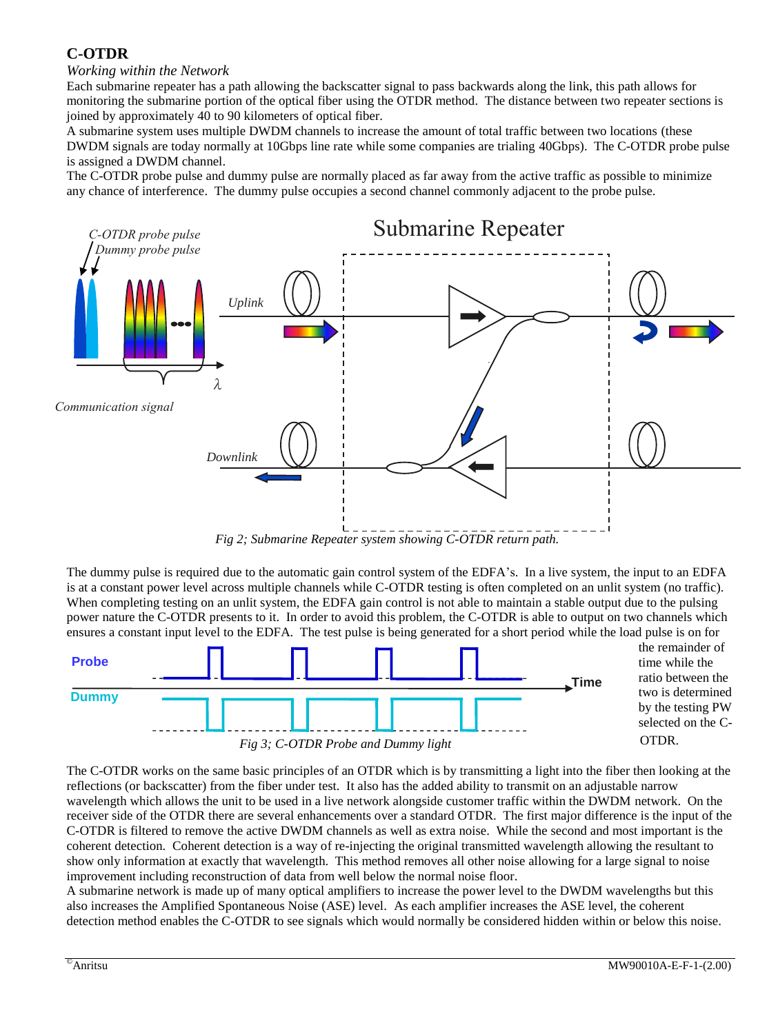## **C-OTDR**

## *Working within the Network*

Each submarine repeater has a path allowing the backscatter signal to pass backwards along the link, this path allows for monitoring the submarine portion of the optical fiber using the OTDR method. The distance between two repeater sections is joined by approximately 40 to 90 kilometers of optical fiber.

A submarine system uses multiple DWDM channels to increase the amount of total traffic between two locations (these DWDM signals are today normally at 10Gbps line rate while some companies are trialing 40Gbps). The C-OTDR probe pulse is assigned a DWDM channel.

The C-OTDR probe pulse and dummy pulse are normally placed as far away from the active traffic as possible to minimize any chance of interference. The dummy pulse occupies a second channel commonly adjacent to the probe pulse.



*Fig 2; Submarine Repeater system showing C-OTDR return path.*

The dummy pulse is required due to the automatic gain control system of the EDFA's. In a live system, the input to an EDFA is at a constant power level across multiple channels while C-OTDR testing is often completed on an unlit system (no traffic). When completing testing on an unlit system, the EDFA gain control is not able to maintain a stable output due to the pulsing power nature the C-OTDR presents to it. In order to avoid this problem, the C-OTDR is able to output on two channels which ensures a constant input level to the EDFA. The test pulse is being generated for a short period while the load pulse is on for



The C-OTDR works on the same basic principles of an OTDR which is by transmitting a light into the fiber then looking at the reflections (or backscatter) from the fiber under test. It also has the added ability to transmit on an adjustable narrow wavelength which allows the unit to be used in a live network alongside customer traffic within the DWDM network. On the receiver side of the OTDR there are several enhancements over a standard OTDR. The first major difference is the input of the C-OTDR is filtered to remove the active DWDM channels as well as extra noise. While the second and most important is the coherent detection. Coherent detection is a way of re-injecting the original transmitted wavelength allowing the resultant to show only information at exactly that wavelength. This method removes all other noise allowing for a large signal to noise improvement including reconstruction of data from well below the normal noise floor.

A submarine network is made up of many optical amplifiers to increase the power level to the DWDM wavelengths but this also increases the Amplified Spontaneous Noise (ASE) level. As each amplifier increases the ASE level, the coherent detection method enables the C-OTDR to see signals which would normally be considered hidden within or below this noise.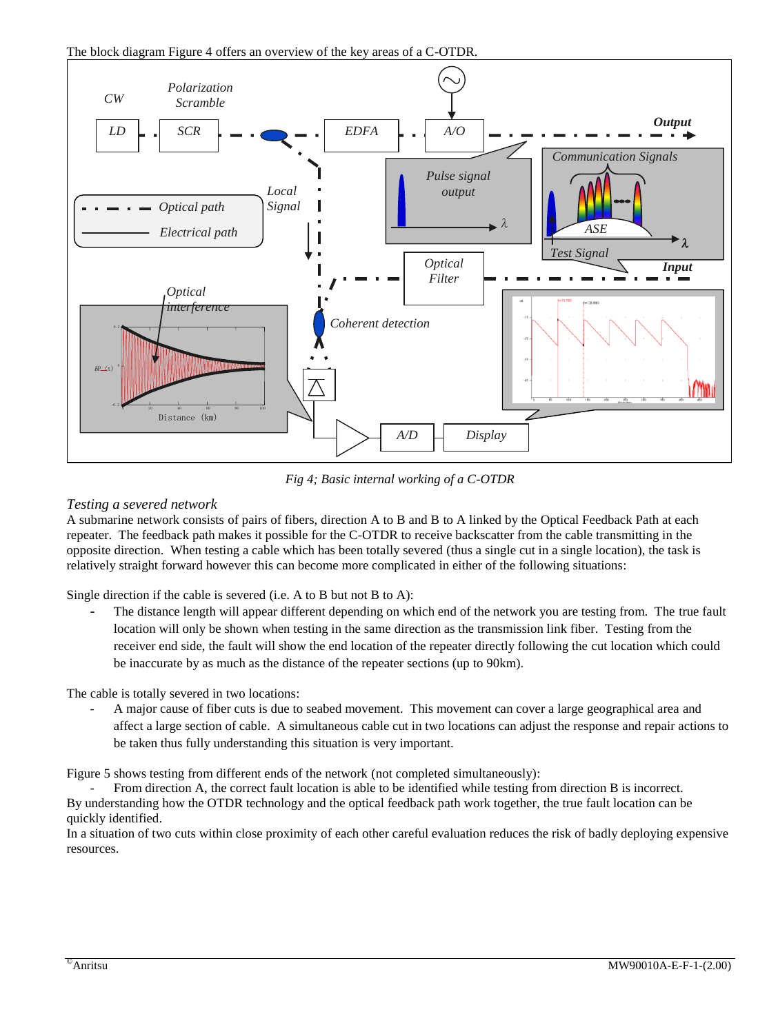

*Fig 4; Basic internal working of a C-OTDR*

## *Testing a severed network*

A submarine network consists of pairs of fibers, direction A to B and B to A linked by the Optical Feedback Path at each repeater. The feedback path makes it possible for the C-OTDR to receive backscatter from the cable transmitting in the opposite direction. When testing a cable which has been totally severed (thus a single cut in a single location), the task is relatively straight forward however this can become more complicated in either of the following situations:

Single direction if the cable is severed (i.e. A to B but not B to A):

The distance length will appear different depending on which end of the network you are testing from. The true fault location will only be shown when testing in the same direction as the transmission link fiber. Testing from the receiver end side, the fault will show the end location of the repeater directly following the cut location which could be inaccurate by as much as the distance of the repeater sections (up to 90km).

The cable is totally severed in two locations:

- A major cause of fiber cuts is due to seabed movement. This movement can cover a large geographical area and affect a large section of cable. A simultaneous cable cut in two locations can adjust the response and repair actions to be taken thus fully understanding this situation is very important.

Figure 5 shows testing from different ends of the network (not completed simultaneously):

- From direction A, the correct fault location is able to be identified while testing from direction B is incorrect. By understanding how the OTDR technology and the optical feedback path work together, the true fault location can be quickly identified.

In a situation of two cuts within close proximity of each other careful evaluation reduces the risk of badly deploying expensive resources.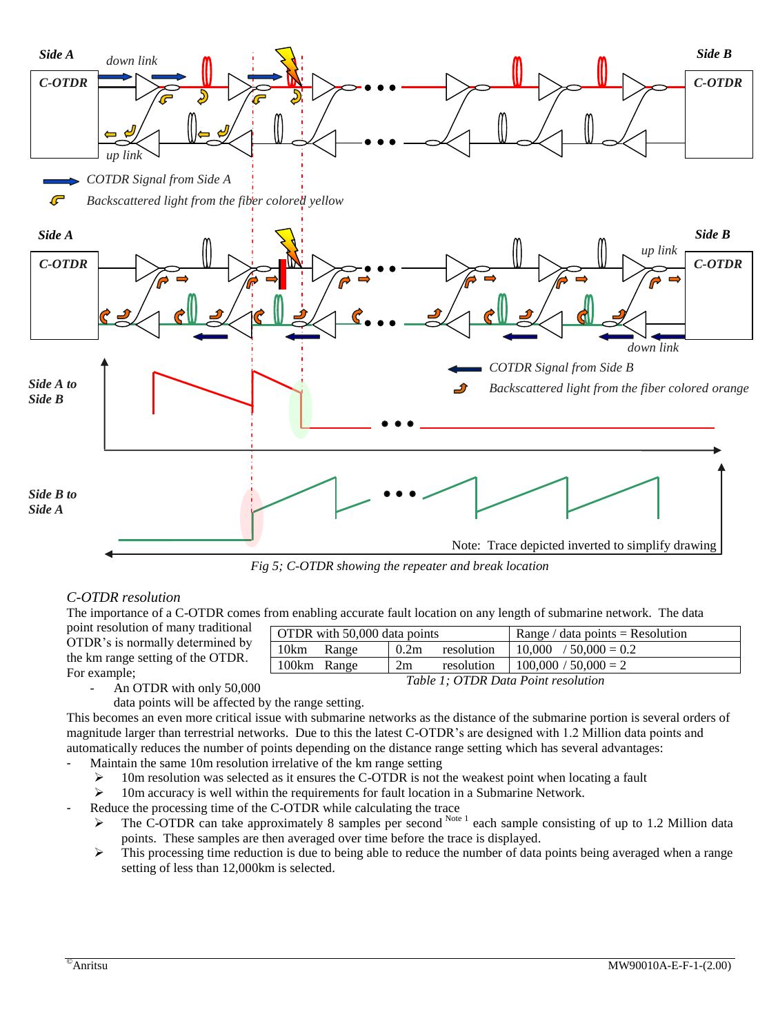

*Fig 5; C-OTDR showing the repeater and break location*

#### *C-OTDR resolution*

The importance of a C-OTDR comes from enabling accurate fault location on any length of submarine network. The data

| point resolution of many traditional<br>OTDR's is normally determined by<br>the km range setting of the OTDR. | OTDR with 50,000 data points |             |
|---------------------------------------------------------------------------------------------------------------|------------------------------|-------------|
|                                                                                                               | 10km<br>Range                | 0.2m        |
|                                                                                                               | 100km Range                  | 2m          |
| For example;                                                                                                  |                              | $T - 1.1$ . |

*Table 1; OTDR Data Point resolution*

resolution | 10,000 / 50,000 = 0.2 resolution  $100,000 / 50,000 = 2$ 

Range / data points = Resolution

- An OTDR with only 50,000
	- data points will be affected by the range setting.

This becomes an even more critical issue with submarine networks as the distance of the submarine portion is several orders of magnitude larger than terrestrial networks. Due to this the latest C-OTDR's are designed with 1.2 Million data points and automatically reduces the number of points depending on the distance range setting which has several advantages:

- Maintain the same 10m resolution irrelative of the km range setting
	- $\geq 10$ m resolution was selected as it ensures the C-OTDR is not the weakest point when locating a fault
	- 10m accuracy is well within the requirements for fault location in a Submarine Network.
- Reduce the processing time of the C-OTDR while calculating the trace
	- $\triangleright$  The C-OTDR can take approximately 8 samples per second <sup>Note 1</sup> each sample consisting of up to 1.2 Million data points. These samples are then averaged over time before the trace is displayed.
	- $\triangleright$  This processing time reduction is due to being able to reduce the number of data points being averaged when a range setting of less than 12,000km is selected.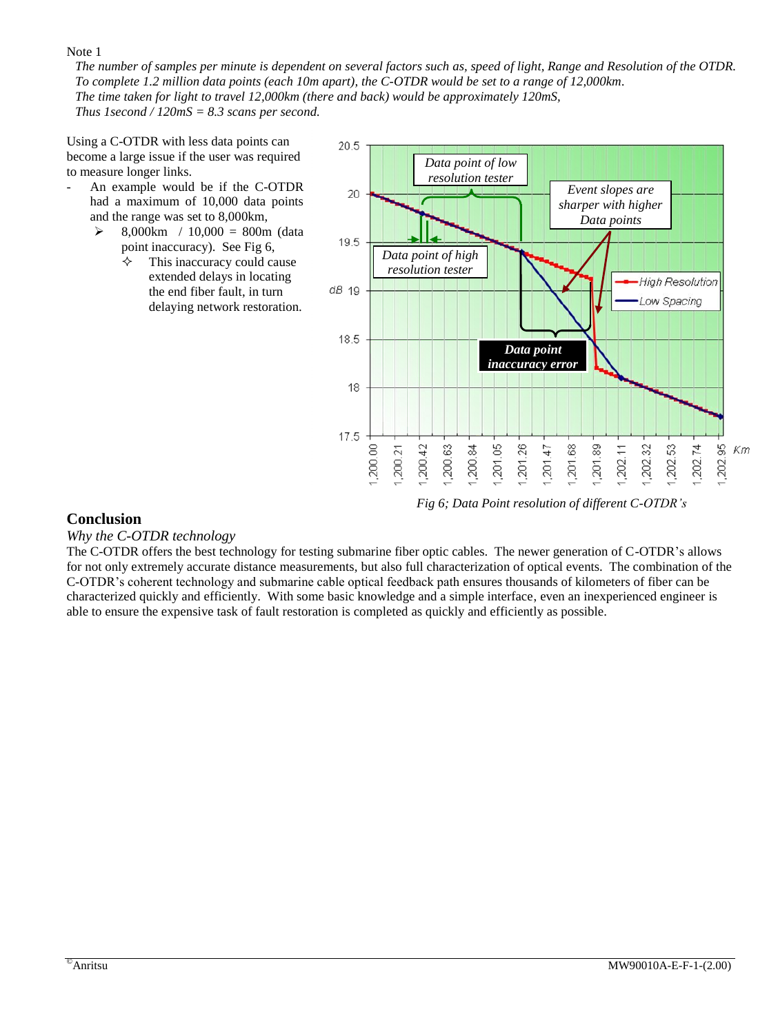Note 1

*The number of samples per minute is dependent on several factors such as, speed of light, Range and Resolution of the OTDR. To complete 1.2 million data points (each 10m apart), the C-OTDR would be set to a range of 12,000km. The time taken for light to travel 12,000km (there and back) would be approximately 120mS, Thus 1second / 120mS = 8.3 scans per second.*

Using a C-OTDR with less data points can become a large issue if the user was required to measure longer links.

- An example would be if the C-OTDR had a maximum of 10,000 data points and the range was set to 8,000km,
	- $\geq$  8,000km / 10,000 = 800m (data point inaccuracy). See Fig 6,
		- This inaccuracy could cause extended delays in locating the end fiber fault, in turn delaying network restoration.



*Fig 6; Data Point resolution of different C-OTDR's*

## **Conclusion**

#### *Why the C-OTDR technology*

The C-OTDR offers the best technology for testing submarine fiber optic cables. The newer generation of C-OTDR's allows for not only extremely accurate distance measurements, but also full characterization of optical events. The combination of the C-OTDR's coherent technology and submarine cable optical feedback path ensures thousands of kilometers of fiber can be characterized quickly and efficiently. With some basic knowledge and a simple interface, even an inexperienced engineer is able to ensure the expensive task of fault restoration is completed as quickly and efficiently as possible.